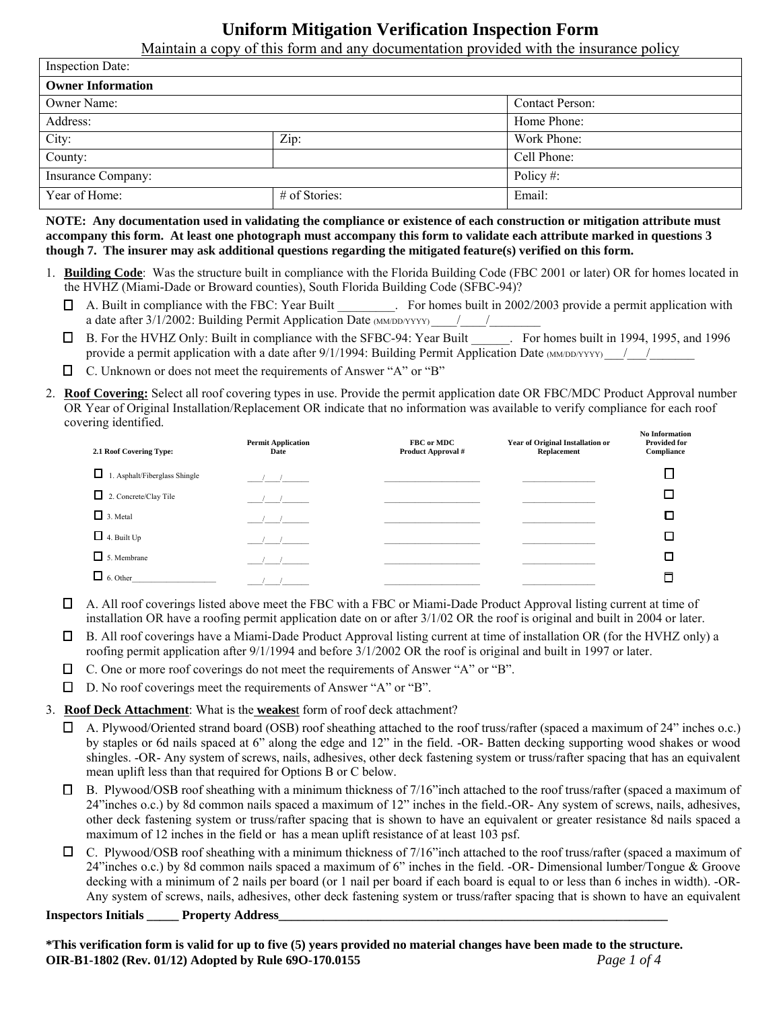# **Uniform Mitigation Verification Inspection Form**

Maintain a copy of this form and any documentation provided with the insurance policy

| <b>Inspection Date:</b>  |               |                        |  |  |
|--------------------------|---------------|------------------------|--|--|
| <b>Owner Information</b> |               |                        |  |  |
| Owner Name:              |               | <b>Contact Person:</b> |  |  |
| Address:                 |               | Home Phone:            |  |  |
| City:                    | Zip:          | Work Phone:            |  |  |
| County:                  |               | Cell Phone:            |  |  |
| Insurance Company:       |               | Policy#:               |  |  |
| Year of Home:            | # of Stories: | Email:                 |  |  |

**NOTE: Any documentation used in validating the compliance or existence of each construction or mitigation attribute must accompany this form. At least one photograph must accompany this form to validate each attribute marked in questions 3 though 7. The insurer may ask additional questions regarding the mitigated feature(s) verified on this form.** 

- 1. **Building Code**: Was the structure built in compliance with the Florida Building Code (FBC 2001 or later) OR for homes located in the HVHZ (Miami-Dade or Broward counties), South Florida Building Code (SFBC-94)?
	- A. Built in compliance with the FBC: Year Built \_\_\_\_\_\_\_\_\_. For homes built in 2002/2003 provide a permit application with a date after 3/1/2002: Building Permit Application Date (MM/DD/YYYY) \_\_\_\_/\_\_\_\_/
	- B. For the HVHZ Only: Built in compliance with the SFBC-94: Year Built \_\_\_\_\_\_. For homes built in 1994, 1995, and 1996 provide a permit application with a date after  $9/1/1994$ : Building Permit Application Date (MM/DD/YYYY)  $\frac{1}{2}$
	- C. Unknown or does not meet the requirements of Answer "A" or "B"
- 2. **Roof Covering:** Select all roof covering types in use. Provide the permit application date OR FBC/MDC Product Approval number OR Year of Original Installation/Replacement OR indicate that no information was available to verify compliance for each roof covering identified.

| 2.1 Roof Covering Type:            | <b>Permit Application</b><br>Date | FBC or MDC<br>Product Approval # | Year of Original Installation or<br>Replacement | <b>No Information</b><br><b>Provided for</b><br>Compliance |
|------------------------------------|-----------------------------------|----------------------------------|-------------------------------------------------|------------------------------------------------------------|
| ப<br>1. Asphalt/Fiberglass Shingle | $1 \quad 1 \quad$                 |                                  |                                                 |                                                            |
| $\Box$ 2. Concrete/Clay Tile       |                                   |                                  |                                                 |                                                            |
| $\Box$ 3. Metal                    |                                   |                                  |                                                 | Π                                                          |
| $\Box$ 4. Built Up                 |                                   |                                  |                                                 |                                                            |
| $\Box$ 5. Membrane                 |                                   |                                  |                                                 |                                                            |
| $\Box$ 6. Other                    |                                   |                                  |                                                 |                                                            |

- $\Box$  A. All roof coverings listed above meet the FBC with a FBC or Miami-Dade Product Approval listing current at time of installation OR have a roofing permit application date on or after 3/1/02 OR the roof is original and built in 2004 or later.
- $\Box$  B. All roof coverings have a Miami-Dade Product Approval listing current at time of installation OR (for the HVHZ only) a roofing permit application after 9/1/1994 and before 3/1/2002 OR the roof is original and built in 1997 or later.
- $\Box$  C. One or more roof coverings do not meet the requirements of Answer "A" or "B".
- D. No roof coverings meet the requirements of Answer "A" or "B".

3. **Roof Deck Attachment**: What is the **weakes**t form of roof deck attachment?

- A. Plywood/Oriented strand board (OSB) roof sheathing attached to the roof truss/rafter (spaced a maximum of 24" inches o.c.) by staples or 6d nails spaced at 6" along the edge and 12" in the field. -OR- Batten decking supporting wood shakes or wood shingles. -OR- Any system of screws, nails, adhesives, other deck fastening system or truss/rafter spacing that has an equivalent mean uplift less than that required for Options B or C below.
- $\Box$  B. Plywood/OSB roof sheathing with a minimum thickness of 7/16" inch attached to the roof truss/rafter (spaced a maximum of 24"inches o.c.) by 8d common nails spaced a maximum of 12" inches in the field.-OR- Any system of screws, nails, adhesives, other deck fastening system or truss/rafter spacing that is shown to have an equivalent or greater resistance 8d nails spaced a maximum of 12 inches in the field or has a mean uplift resistance of at least 103 psf.
- $\Box$  C. Plywood/OSB roof sheathing with a minimum thickness of 7/16" inch attached to the roof truss/rafter (spaced a maximum of 24"inches o.c.) by 8d common nails spaced a maximum of 6" inches in the field. -OR- Dimensional lumber/Tongue & Groove decking with a minimum of 2 nails per board (or 1 nail per board if each board is equal to or less than 6 inches in width). -OR-Any system of screws, nails, adhesives, other deck fastening system or truss/rafter spacing that is shown to have an equivalent

**Inspectors Initials Property Address** 

**\*This verification form is valid for up to five (5) years provided no material changes have been made to the structure. OIR-B1-1802 (Rev. 01/12) Adopted by Rule 69O-170.0155** *Page 1 of 4*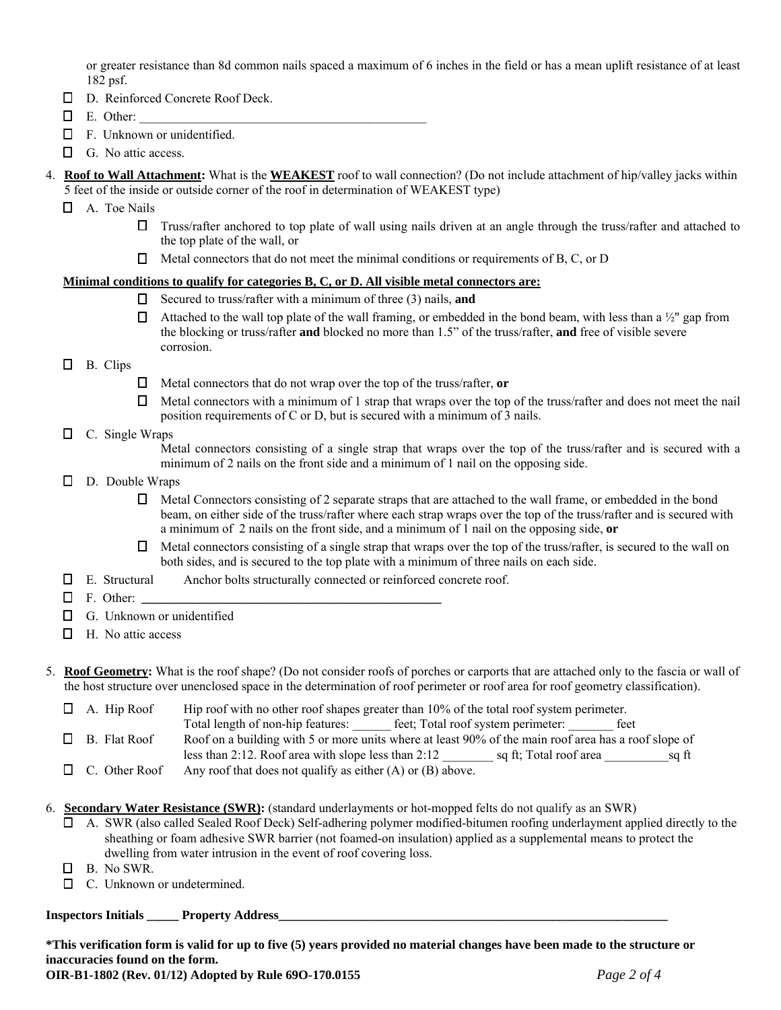or greater resistance than 8d common nails spaced a maximum of 6 inches in the field or has a mean uplift resistance of at least 182 psf.

- D. Reinforced Concrete Roof Deck.
- $\Box$  E. Other:
- F. Unknown or unidentified.
- G. No attic access.
- 4. **Roof to Wall Attachment:** What is the **WEAKEST** roof to wall connection? (Do not include attachment of hip/valley jacks within 5 feet of the inside or outside corner of the roof in determination of WEAKEST type)
	- A. Toe Nails
		- $\Box$  Truss/rafter anchored to top plate of wall using nails driven at an angle through the truss/rafter and attached to the top plate of the wall, or
		- $\Box$  Metal connectors that do not meet the minimal conditions or requirements of B, C, or D

#### **Minimal conditions to qualify for categories B, C, or D. All visible metal connectors are:**

- Secured to truss/rafter with a minimum of three (3) nails, **and**
- $\Box$  Attached to the wall top plate of the wall framing, or embedded in the bond beam, with less than a ½" gap from the blocking or truss/rafter **and** blocked no more than 1.5" of the truss/rafter, **and** free of visible severe corrosion.
- $\Box$  B. Clips
- Metal connectors that do not wrap over the top of the truss/rafter, **or**
- $\Box$  Metal connectors with a minimum of 1 strap that wraps over the top of the truss/rafter and does not meet the nail position requirements of C or D, but is secured with a minimum of 3 nails.
- $\Box$  C. Single Wraps

Metal connectors consisting of a single strap that wraps over the top of the truss/rafter and is secured with a minimum of 2 nails on the front side and a minimum of 1 nail on the opposing side.

- $\Box$  D. Double Wraps
	- $\Box$  Metal Connectors consisting of 2 separate straps that are attached to the wall frame, or embedded in the bond beam, on either side of the truss/rafter where each strap wraps over the top of the truss/rafter and is secured with a minimum of 2 nails on the front side, and a minimum of 1 nail on the opposing side, **or**
	- $\Box$  Metal connectors consisting of a single strap that wraps over the top of the truss/rafter, is secured to the wall on both sides, and is secured to the top plate with a minimum of three nails on each side.
- E. Structural Anchor bolts structurally connected or reinforced concrete roof.
- $\Box$  F. Other:
- $\Box$  G. Unknown or unidentified
- $\Box$  H. No attic access

5. **Roof Geometry:** What is the roof shape? (Do not consider roofs of porches or carports that are attached only to the fascia or wall of the host structure over unenclosed space in the determination of roof perimeter or roof area for roof geometry classification).

 $\Box$  A. Hip Roof Hip roof with no other roof shapes greater than 10% of the total roof system perimeter. Total length of non-hip features: \_\_\_\_\_\_ feet; Total roof system perimeter: \_\_\_\_\_\_\_ feet  $\Box$  B. Flat Roof  $\Box$  Roof on a building with 5 or more units where at least 90% of the main roof area has a roof slope of less than 2:12. Roof area with slope less than 2:12 \_\_\_\_\_\_\_\_ sq ft; Total roof area \_\_\_\_\_\_\_\_\_\_sq ft

- $\Box$  C. Other Roof Any roof that does not qualify as either (A) or (B) above.
- 6. **Secondary Water Resistance (SWR):** (standard underlayments or hot-mopped felts do not qualify as an SWR)
	- A. SWR (also called Sealed Roof Deck) Self-adhering polymer modified-bitumen roofing underlayment applied directly to the sheathing or foam adhesive SWR barrier (not foamed-on insulation) applied as a supplemental means to protect the dwelling from water intrusion in the event of roof covering loss.
	- B. No SWR.
	- □ C. Unknown or undetermined.

### **Inspectors Initials Property Address**

**\*This verification form is valid for up to five (5) years provided no material changes have been made to the structure or inaccuracies found on the form.**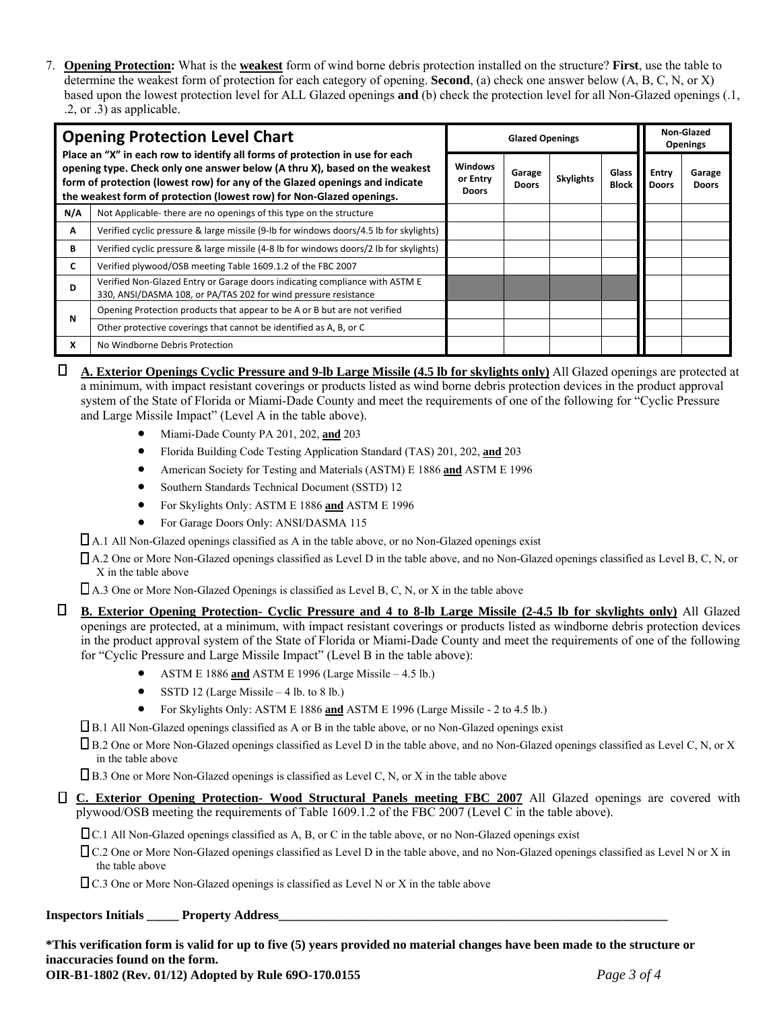7. **Opening Protection:** What is the **weakest** form of wind borne debris protection installed on the structure? **First**, use the table to determine the weakest form of protection for each category of opening. **Second**, (a) check one answer below (A, B, C, N, or X) based upon the lowest protection level for ALL Glazed openings **and** (b) check the protection level for all Non-Glazed openings (.1, .2, or .3) as applicable.

| <b>Opening Protection Level Chart</b>                                                                                                                                                                                                                                                                             |                                                                                                                                                | <b>Glazed Openings</b>                     |                        |                  |                       | Non-Glazed<br><b>Openings</b> |                        |
|-------------------------------------------------------------------------------------------------------------------------------------------------------------------------------------------------------------------------------------------------------------------------------------------------------------------|------------------------------------------------------------------------------------------------------------------------------------------------|--------------------------------------------|------------------------|------------------|-----------------------|-------------------------------|------------------------|
| Place an "X" in each row to identify all forms of protection in use for each<br>opening type. Check only one answer below (A thru X), based on the weakest<br>form of protection (lowest row) for any of the Glazed openings and indicate<br>the weakest form of protection (lowest row) for Non-Glazed openings. |                                                                                                                                                | <b>Windows</b><br>or Entry<br><b>Doors</b> | Garage<br><b>Doors</b> | <b>Skylights</b> | Glass<br><b>Block</b> | Entry<br><b>Doors</b>         | Garage<br><b>Doors</b> |
| N/A                                                                                                                                                                                                                                                                                                               | Not Applicable-there are no openings of this type on the structure                                                                             |                                            |                        |                  |                       |                               |                        |
| A                                                                                                                                                                                                                                                                                                                 | Verified cyclic pressure & large missile (9-lb for windows doors/4.5 lb for skylights)                                                         |                                            |                        |                  |                       |                               |                        |
| B                                                                                                                                                                                                                                                                                                                 | Verified cyclic pressure & large missile (4-8 lb for windows doors/2 lb for skylights)                                                         |                                            |                        |                  |                       |                               |                        |
| c                                                                                                                                                                                                                                                                                                                 | Verified plywood/OSB meeting Table 1609.1.2 of the FBC 2007                                                                                    |                                            |                        |                  |                       |                               |                        |
| D                                                                                                                                                                                                                                                                                                                 | Verified Non-Glazed Entry or Garage doors indicating compliance with ASTM E<br>330, ANSI/DASMA 108, or PA/TAS 202 for wind pressure resistance |                                            |                        |                  |                       |                               |                        |
| N                                                                                                                                                                                                                                                                                                                 | Opening Protection products that appear to be A or B but are not verified                                                                      |                                            |                        |                  |                       |                               |                        |
|                                                                                                                                                                                                                                                                                                                   | Other protective coverings that cannot be identified as A, B, or C                                                                             |                                            |                        |                  |                       |                               |                        |
| x                                                                                                                                                                                                                                                                                                                 | No Windborne Debris Protection                                                                                                                 |                                            |                        |                  |                       |                               |                        |

 **A. Exterior Openings Cyclic Pressure and 9-lb Large Missile (4.5 lb for skylights only)** All Glazed openings are protected at a minimum, with impact resistant coverings or products listed as wind borne debris protection devices in the product approval system of the State of Florida or Miami-Dade County and meet the requirements of one of the following for "Cyclic Pressure and Large Missile Impact" (Level A in the table above).

- Miami-Dade County PA 201, 202, **and** 203
- Florida Building Code Testing Application Standard (TAS) 201, 202, **and** 203
- American Society for Testing and Materials (ASTM) E 1886 **and** ASTM E 1996
- Southern Standards Technical Document (SSTD) 12
- For Skylights Only: ASTM E 1886 **and** ASTM E 1996
- For Garage Doors Only: ANSI/DASMA 115

A.1 All Non-Glazed openings classified as A in the table above, or no Non-Glazed openings exist

 A.2 One or More Non-Glazed openings classified as Level D in the table above, and no Non-Glazed openings classified as Level B, C, N, or X in the table above

 $\Box$  A.3 One or More Non-Glazed Openings is classified as Level B, C, N, or X in the table above

 **B. Exterior Opening Protection- Cyclic Pressure and 4 to 8-lb Large Missile (2-4.5 lb for skylights only)** All Glazed openings are protected, at a minimum, with impact resistant coverings or products listed as windborne debris protection devices in the product approval system of the State of Florida or Miami-Dade County and meet the requirements of one of the following for "Cyclic Pressure and Large Missile Impact" (Level B in the table above):

- ASTM E 1886 **and** ASTM E 1996 (Large Missile 4.5 lb.)
- $\bullet$  SSTD 12 (Large Missile 4 lb. to 8 lb.)
- For Skylights Only: ASTM E 1886 **and** ASTM E 1996 (Large Missile 2 to 4.5 lb.)

B.1 All Non-Glazed openings classified as A or B in the table above, or no Non-Glazed openings exist

 B.2 One or More Non-Glazed openings classified as Level D in the table above, and no Non-Glazed openings classified as Level C, N, or X in the table above

 $\Box$  B.3 One or More Non-Glazed openings is classified as Level C, N, or X in the table above

 **C. Exterior Opening Protection- Wood Structural Panels meeting FBC 2007** All Glazed openings are covered with plywood/OSB meeting the requirements of Table 1609.1.2 of the FBC 2007 (Level C in the table above).

C.1 All Non-Glazed openings classified as A, B, or C in the table above, or no Non-Glazed openings exist

 C.2 One or More Non-Glazed openings classified as Level D in the table above, and no Non-Glazed openings classified as Level N or X in the table above

C.3 One or More Non-Glazed openings is classified as Level N or X in the table above

### **Inspectors Initials Property Address**

**\*This verification form is valid for up to five (5) years provided no material changes have been made to the structure or inaccuracies found on the form.** 

**OIR-B1-1802 (Rev. 01/12) Adopted by Rule 69O-170.0155** *Page 3 of 4*